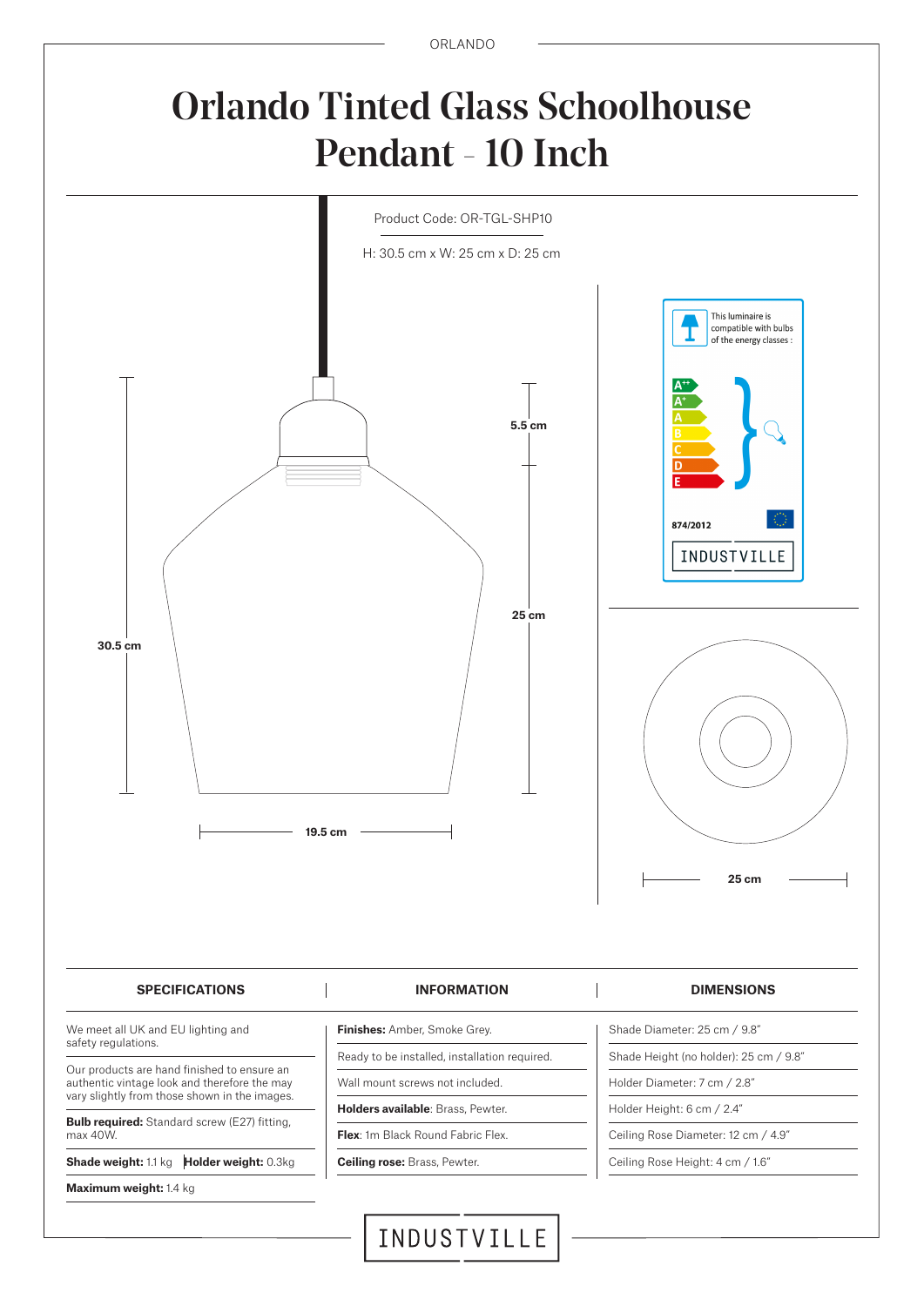ORLANDO

## Orlando Tinted Glass Schoolhouse Pendant - 10 Inch



## INDUSTVILLE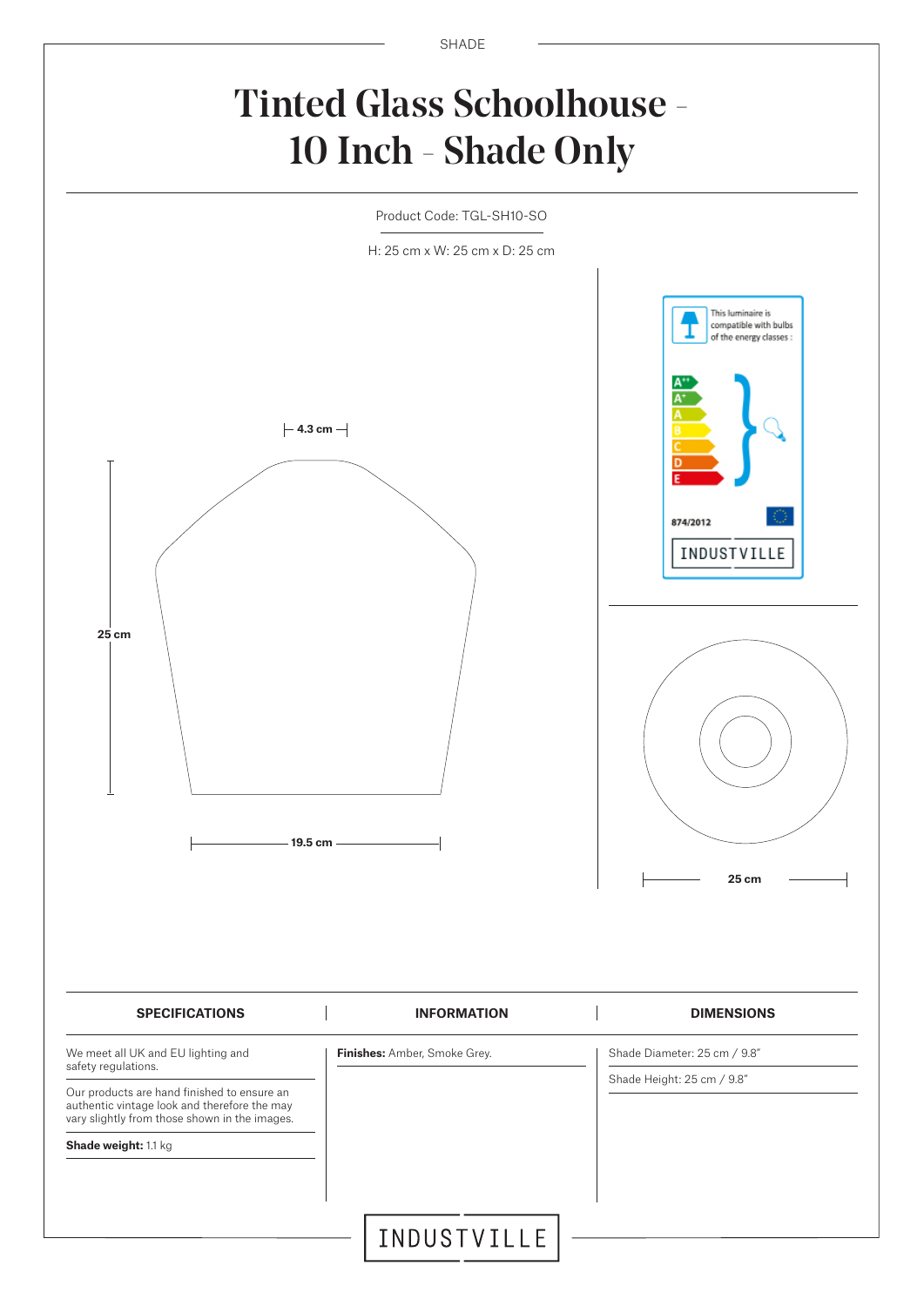